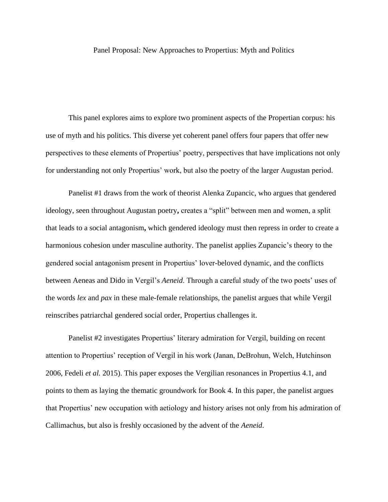## Panel Proposal: New Approaches to Propertius: Myth and Politics

This panel explores aims to explore two prominent aspects of the Propertian corpus: his use of myth and his politics. This diverse yet coherent panel offers four papers that offer new perspectives to these elements of Propertius' poetry, perspectives that have implications not only for understanding not only Propertius' work, but also the poetry of the larger Augustan period.

Panelist #1 draws from the work of theorist Alenka Zupancic, who argues that gendered ideology, seen throughout Augustan poetry**,** creates a "split" between men and women, a split that leads to a social antagonism**,** which gendered ideology must then repress in order to create a harmonious cohesion under masculine authority. The panelist applies Zupancic's theory to the gendered social antagonism present in Propertius' lover-beloved dynamic, and the conflicts between Aeneas and Dido in Vergil's *Aeneid*. Through a careful study of the two poets' uses of the words *lex* and *pax* in these male-female relationships, the panelist argues that while Vergil reinscribes patriarchal gendered social order, Propertius challenges it.

Panelist #2 investigates Propertius' literary admiration for Vergil, building on recent attention to Propertius' reception of Vergil in his work (Janan, DeBrohun, Welch, Hutchinson 2006, Fedeli *et al.* 2015). This paper exposes the Vergilian resonances in Propertius 4.1, and points to them as laying the thematic groundwork for Book 4. In this paper, the panelist argues that Propertius' new occupation with aetiology and history arises not only from his admiration of Callimachus, but also is freshly occasioned by the advent of the *Aeneid*.